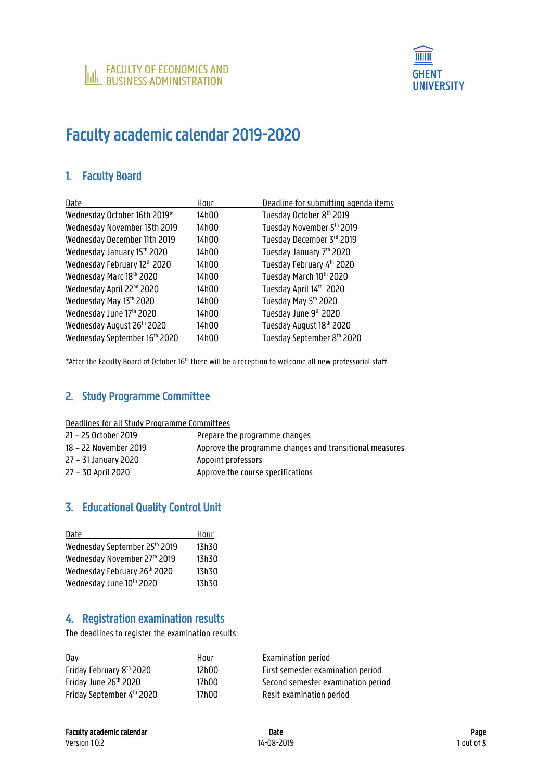

# Faculty academic calendar 2019-2020

# 1. Faculty Board

| Date                          | Hour  | Deadline for submitting agenda items |
|-------------------------------|-------|--------------------------------------|
| Wednesday October 16th 2019*  | 14h00 | Tuesday October 8th 2019             |
| Wednesday November 13th 2019  | 14h00 | Tuesday November 5th 2019            |
| Wednesday December 11th 2019  | 14h00 | Tuesday December 3rd 2019            |
| Wednesday January 15th 2020   | 14h00 | Tuesday January 7th 2020             |
| Wednesday February 12th 2020  | 14h00 | Tuesday February 4th 2020            |
| Wednesday Marc 18th 2020      | 14h00 | Tuesday March 10th 2020              |
| Wednesday April 22nd 2020     | 14h00 | Tuesday April 14th 2020              |
| Wednesday May 13th 2020       | 14h00 | Tuesday May 5th 2020                 |
| Wednesday June 17th 2020      | 14h00 | Tuesday June 9th 2020                |
| Wednesday August 26th 2020    | 14h00 | Tuesday August 18th 2020             |
| Wednesday September 16th 2020 | 14h00 | Tuesday September 8th 2020           |

\*After the Faculty Board of October 16<sup>th</sup> there will be a reception to welcome all new professorial staff

# 2. Study Programme Committee

Deadlines for all Study Programme Committees

| 21 – 25 October 2019  | Prepare the programme changes                           |
|-----------------------|---------------------------------------------------------|
| 18 - 22 November 2019 | Approve the programme changes and transitional measures |
| 27 – 31 January 2020  | Appoint professors                                      |
| 27 – 30 April 2020    | Approve the course specifications                       |

# 3. Educational Quality Control Unit

| Date                          | Hour  |
|-------------------------------|-------|
| Wednesday September 25th 2019 | 13h30 |
| Wednesday November 27th 2019  | 13h30 |
| Wednesday February 26th 2020  | 13h30 |
| Wednesday June 10th 2020      | 13h30 |

# 4. Registration examination results

The deadlines to register the examination results:

| Dav                       | Hour  | Examination period                 |
|---------------------------|-------|------------------------------------|
| Friday February 8th 2020  | 12h00 | First semester examination period  |
| Friday June 26th 2020     | 17h00 | Second semester examination period |
| Friday September 4th 2020 | 17h00 | Resit examination period           |

Version 1.0.2 1 out of 5 and 2012 14-08-2019 14-08-2019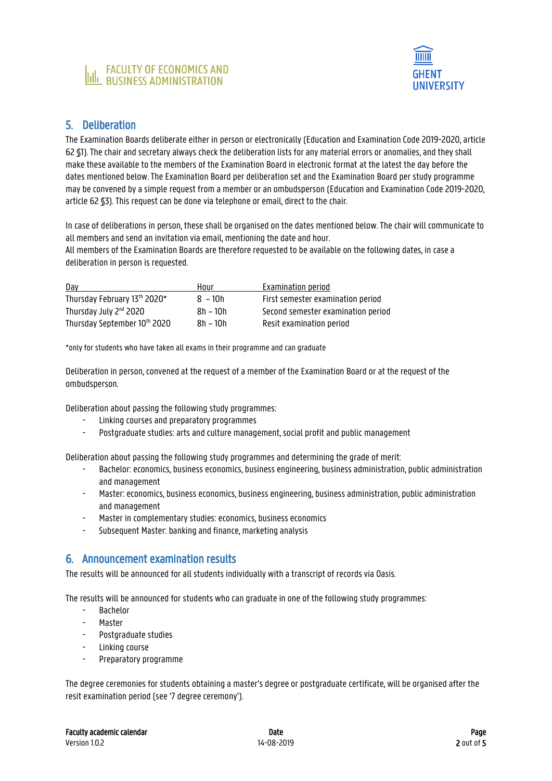



## 5. Deliberation

The Examination Boards deliberate either in person or electronically (Education and Examination Code 2019-2020, article 62 §1). The chair and secretary always check the deliberation lists for any material errors or anomalies, and they shall make these available to the members of the Examination Board in electronic format at the latest the day before the dates mentioned below. The Examination Board per deliberation set and the Examination Board per study programme may be convened by a simple request from a member or an ombudsperson (Education and Examination Code 2019-2020, article 62 §3). This request can be done via telephone or email, direct to the chair.

In case of deliberations in person, these shall be organised on the dates mentioned below. The chair will communicate to all members and send an invitation via email, mentioning the date and hour.

All members of the Examination Boards are therefore requested to be available on the following dates, in case a deliberation in person is requested.

| Day                                | Hour      | Examination period                 |
|------------------------------------|-----------|------------------------------------|
| Thursday February 13th 2020*       | $8 - 10h$ | First semester examination period  |
| Thursday July 2 <sup>nd</sup> 2020 | 8h – 10h  | Second semester examination period |
| Thursday September 10th 2020       | 8h – 10h  | Resit examination period           |

\*only for students who have taken all exams in their programme and can graduate

Deliberation in person, convened at the request of a member of the Examination Board or at the request of the ombudsperson.

Deliberation about passing the following study programmes:

- Linking courses and preparatory programmes
- Postgraduate studies: arts and culture management, social profit and public management

Deliberation about passing the following study programmes and determining the grade of merit:

- Bachelor: economics, business economics, business engineering, business administration, public administration and management
- Master: economics, business economics, business engineering, business administration, public administration and management
- Master in complementary studies: economics, business economics
- Subsequent Master: banking and finance, marketing analysis

## 6. Announcement examination results

The results will be announced for all students individually with a transcript of records via Oasis.

The results will be announced for students who can graduate in one of the following study programmes:

- Bachelor
- **Master**
- Postgraduate studies
- Linking course
- Preparatory programme

The degree ceremonies for students obtaining a master's degree or postgraduate certificate, will be organised after the resit examination period (see '7 degree ceremony').

| <b>Faculty academic calendar</b> | Date       | Page       |
|----------------------------------|------------|------------|
| Version 1.0.2                    | 14-08-2019 | 2 out of 5 |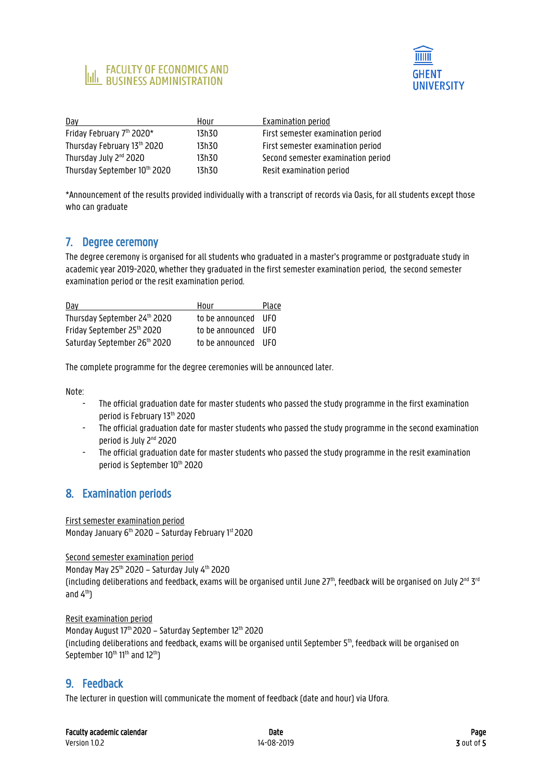



| Day                                | Hour  | Examination period                 |
|------------------------------------|-------|------------------------------------|
| Friday February 7th 2020*          | 13h30 | First semester examination period  |
| Thursday February 13th 2020        | 13h30 | First semester examination period  |
| Thursday July 2 <sup>nd</sup> 2020 | 13h30 | Second semester examination period |
| Thursday September 10th 2020       | 13h30 | Resit examination period           |

\*Announcement of the results provided individually with a transcript of records via Oasis, for all students except those who can graduate

## 7. Degree ceremony

The degree ceremony is organised for all students who graduated in a master's programme or postgraduate study in academic year 2019-2020, whether they graduated in the first semester examination period, the second semester examination period or the resit examination period.

| Day                          | Hour                | Place |
|------------------------------|---------------------|-------|
| Thursday September 24th 2020 | to be announced UFO |       |
| Friday September 25th 2020   | to be announced UFO |       |
| Saturday September 26th 2020 | to be announced UFO |       |

The complete programme for the degree ceremonies will be announced later.

Note:

- The official graduation date for master students who passed the study programme in the first examination period is February 13th 2020
- The official graduation date for master students who passed the study programme in the second examination period is July 2nd 2020
- The official graduation date for master students who passed the study programme in the resit examination period is September 10<sup>th</sup> 2020

## 8. Examination periods

First semester examination period Monday January  $6<sup>th</sup>$  2020 – Saturday February 1st 2020

Second semester examination period Monday May  $25^{th}$  2020 – Saturday July  $4^{th}$  2020 (including deliberations and feedback, exams will be organised until June 27<sup>th</sup>, feedback will be organised on July 2<sup>nd</sup> 3<sup>rd</sup> and  $4<sup>th</sup>$ 

Resit examination period Monday August 17<sup>th</sup> 2020 - Saturday September 12<sup>th</sup> 2020 (including deliberations and feedback, exams will be organised until September  $5<sup>th</sup>$ , feedback will be organised on September 10<sup>th</sup> 11<sup>th</sup> and 12<sup>th</sup>)

## 9. Feedback

The lecturer in question will communicate the moment of feedback (date and hour) via Ufora.

| Page |
|------|
|      |

Version 1.0.2 3 out of 5 out of 5 out of 5 out of 5 out of 5 out of 5 out of 5 out of 5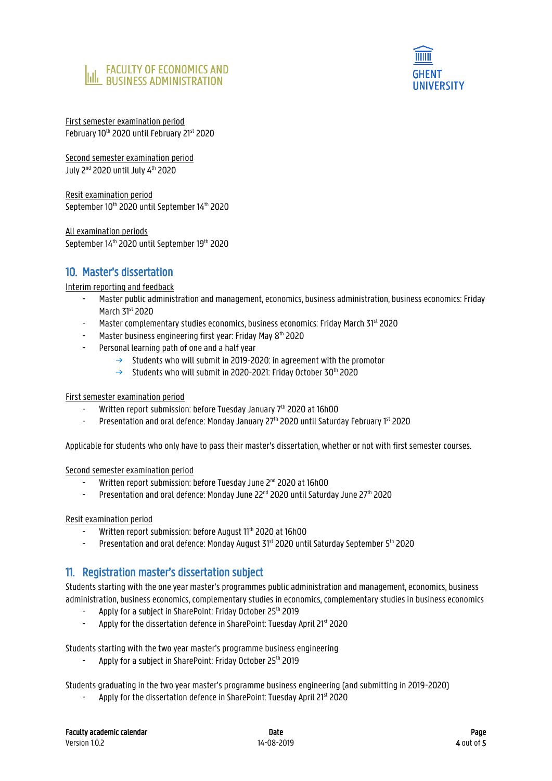



First semester examination period February 10<sup>th</sup> 2020 until February 21st 2020

Second semester examination period July 2nd 2020 until July 4th 2020

Resit examination period September 10<sup>th</sup> 2020 until September 14<sup>th</sup> 2020

All examination periods September 14<sup>th</sup> 2020 until September 19<sup>th</sup> 2020

# 10. Master's dissertation

#### Interim reporting and feedback

- Master public administration and management, economics, business administration, business economics: Friday March 31st 2020
- Master complementary studies economics, business economics: Friday March 31<sup>st</sup> 2020
- Master business engineering first year: Friday May 8<sup>th</sup> 2020
- Personal learning path of one and a half year
	- $\rightarrow$  Students who will submit in 2019-2020: in agreement with the promotor
	- Students who will submit in 2020-2021: Friday October 30<sup>th</sup> 2020

#### First semester examination period

- Written report submission: before Tuesday January 7th 2020 at 16h00
- Presentation and oral defence: Monday January 27<sup>th</sup> 2020 until Saturday February 1st 2020

Applicable for students who only have to pass their master's dissertation, whether or not with first semester courses.

Second semester examination period

- Written report submission: before Tuesday June 2<sup>nd</sup> 2020 at 16h00
- Presentation and oral defence: Monday June 22<sup>nd</sup> 2020 until Saturday June 27<sup>th</sup> 2020

Resit examination period

- Written report submission: before August 11<sup>th</sup> 2020 at 16h00
- Presentation and oral defence: Monday August 31<sup>st</sup> 2020 until Saturday September 5<sup>th</sup> 2020

## 11. Registration master's dissertation subject

Students starting with the one year master's programmes public administration and management, economics, business administration, business economics, complementary studies in economics, complementary studies in business economics

- Apply for a subject in SharePoint: Friday October 25th 2019
- Apply for the dissertation defence in SharePoint: Tuesday April 21st 2020

Students starting with the two year master's programme business engineering

Apply for a subject in SharePoint: Friday October 25<sup>th</sup> 2019

Students graduating in the two year master's programme business engineering (and submitting in 2019-2020)

Apply for the dissertation defence in SharePoint: Tuesday April 21st 2020